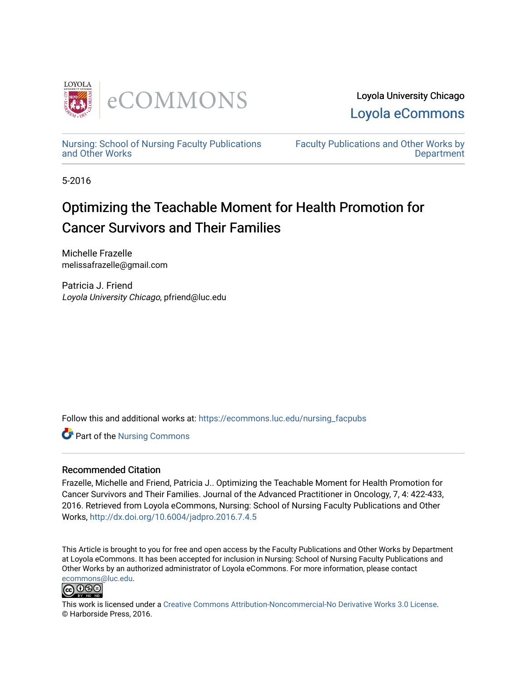

Loyola University Chicago [Loyola eCommons](https://ecommons.luc.edu/) 

[Nursing: School of Nursing Faculty Publications](https://ecommons.luc.edu/nursing_facpubs)  [and Other Works](https://ecommons.luc.edu/nursing_facpubs)

[Faculty Publications and Other Works by](https://ecommons.luc.edu/faculty)  **Department** 

5-2016

# Optimizing the Teachable Moment for Health Promotion for Cancer Survivors and Their Families

Michelle Frazelle melissafrazelle@gmail.com

Patricia J. Friend Loyola University Chicago, pfriend@luc.edu

Follow this and additional works at: [https://ecommons.luc.edu/nursing\\_facpubs](https://ecommons.luc.edu/nursing_facpubs?utm_source=ecommons.luc.edu%2Fnursing_facpubs%2F16&utm_medium=PDF&utm_campaign=PDFCoverPages) 

Part of the [Nursing Commons](http://network.bepress.com/hgg/discipline/718?utm_source=ecommons.luc.edu%2Fnursing_facpubs%2F16&utm_medium=PDF&utm_campaign=PDFCoverPages) 

# Recommended Citation

Frazelle, Michelle and Friend, Patricia J.. Optimizing the Teachable Moment for Health Promotion for Cancer Survivors and Their Families. Journal of the Advanced Practitioner in Oncology, 7, 4: 422-433, 2016. Retrieved from Loyola eCommons, Nursing: School of Nursing Faculty Publications and Other Works,<http://dx.doi.org/10.6004/jadpro.2016.7.4.5>

This Article is brought to you for free and open access by the Faculty Publications and Other Works by Department at Loyola eCommons. It has been accepted for inclusion in Nursing: School of Nursing Faculty Publications and Other Works by an authorized administrator of Loyola eCommons. For more information, please contact [ecommons@luc.edu](mailto:ecommons@luc.edu).



This work is licensed under a [Creative Commons Attribution-Noncommercial-No Derivative Works 3.0 License.](https://creativecommons.org/licenses/by-nc-nd/3.0/) © Harborside Press, 2016.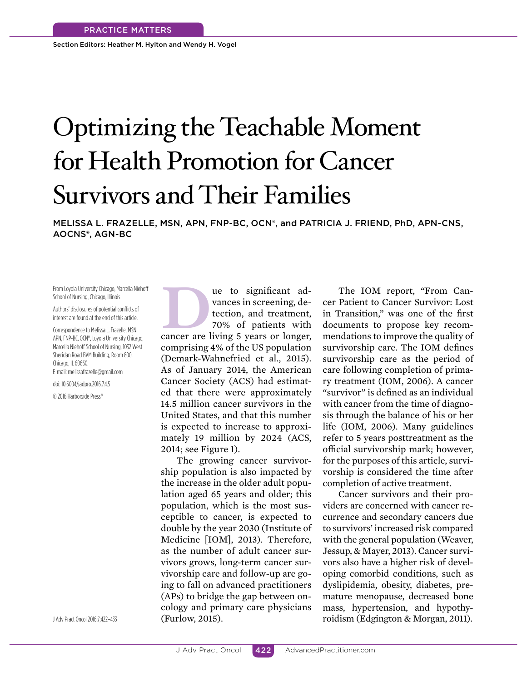Section Editors: Heather M. Hylton and Wendy H. Vogel

# Optimizing the Teachable Moment for Health Promotion for Cancer Survivors and Their Families

MELISSA L. FRAZELLE, MSN, APN, FNP-BC, OCN®, and PATRICIA J. FRIEND, PhD, APN-CNS, AOCNS®, AGN-BC

From Loyola University Chicago, Marcella Niehof School of Nursing, Chicago, Illinois

Authors' disclosures of potential conflicts of interest are found at the end of this article.

Correspondence to Melissa L. Frazelle, MSN, APN, FNP-BC, OCN®, Loyola University Chicago, Marcella Niehoff School of Nursing, 1032 West Sheridan Road BVM Building, Room 800, Chicago, IL 60660.

E-mail: melissafrazelle@gmail.com

doi: 10.6004/jadpro.2016.7.4.5

© 2016 Harborside Press®

**DEREVIED SERVIER CONCRETED STATES (STAR)**<br>
tection, and treatment,<br>
70% of patients with<br>
cancer are living 5 years or longer, vances in screening, detection, and treatment, 70% of patients with

comprising 4% of the US population (Demark-Wahnefried et al., 2015). As of January 2014, the American Cancer Society (ACS) had estimated that there were approximately 14.5 million cancer survivors in the United States, and that this number is expected to increase to approximately 19 million by 2024 (ACS, 2014; see Figure 1).

The growing cancer survivorship population is also impacted by the increase in the older adult population aged 65 years and older; this population, which is the most susceptible to cancer, is expected to double by the year 2030 (Institute of Medicine [IOM], 2013). Therefore, as the number of adult cancer survivors grows, long-term cancer survivorship care and follow-up are going to fall on advanced practitioners (APs) to bridge the gap between oncology and primary care physicians (Furlow, 2015). JAdv Pract Oncol 2016;7;422–433 **roidism (Edgington & Morgan, 2011). roidism (Edgington & Morgan, 2011).** 

The IOM report, "From Cancer Patient to Cancer Survivor: Lost in Transition," was one of the first documents to propose key recommendations to improve the quality of survivorship care. The IOM defines survivorship care as the period of care following completion of primary treatment (IOM, 2006). A cancer "survivor" is defined as an individual with cancer from the time of diagnosis through the balance of his or her life (IOM, 2006). Many guidelines refer to 5 years posttreatment as the official survivorship mark; however, for the purposes of this article, survivorship is considered the time after completion of active treatment.

Cancer survivors and their providers are concerned with cancer recurrence and secondary cancers due to survivors' increased risk compared with the general population (Weaver, Jessup, & Mayer, 2013). Cancer survivors also have a higher risk of developing comorbid conditions, such as dyslipidemia, obesity, diabetes, premature menopause, decreased bone mass, hypertension, and hypothy-

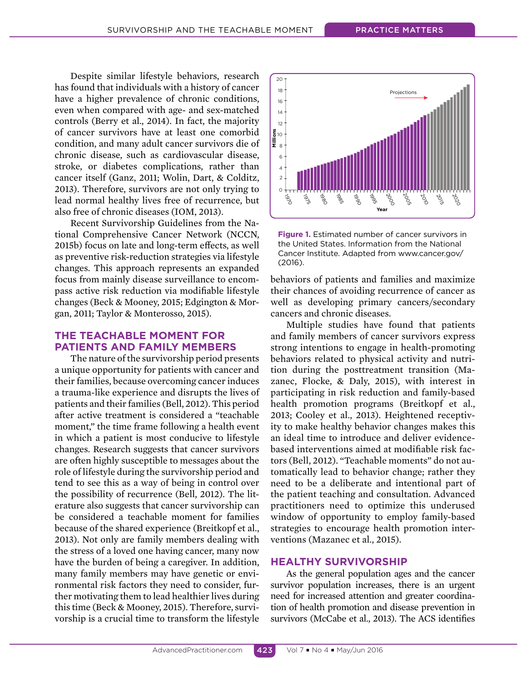Despite similar lifestyle behaviors, research has found that individuals with a history of cancer have a higher prevalence of chronic conditions, even when compared with age- and sex-matched controls (Berry et al., 2014). In fact, the majority of cancer survivors have at least one comorbid condition, and many adult cancer survivors die of chronic disease, such as cardiovascular disease, stroke, or diabetes complications, rather than cancer itself (Ganz, 2011; Wolin, Dart, & Colditz, 2013). Therefore, survivors are not only trying to lead normal healthy lives free of recurrence, but also free of chronic diseases (IOM, 2013).

Recent Survivorship Guidelines from the National Comprehensive Cancer Network (NCCN, 2015b) focus on late and long-term efects, as well as preventive risk-reduction strategies via lifestyle changes. This approach represents an expanded focus from mainly disease surveillance to encompass active risk reduction via modifiable lifestyle changes (Beck & Mooney, 2015; Edgington & Morgan, 2011; Taylor & Monterosso, 2015).

# **THE TEACHABLE MOMENT FOR PATIENTS AND FAMILY MEMBERS**

The nature of the survivorship period presents a unique opportunity for patients with cancer and their families, because overcoming cancer induces a trauma-like experience and disrupts the lives of patients and their families (Bell, 2012). This period after active treatment is considered a "teachable moment," the time frame following a health event in which a patient is most conducive to lifestyle changes. Research suggests that cancer survivors are often highly susceptible to messages about the role of lifestyle during the survivorship period and tend to see this as a way of being in control over the possibility of recurrence (Bell, 2012). The literature also suggests that cancer survivorship can be considered a teachable moment for families because of the shared experience (Breitkopf et al., 2013). Not only are family members dealing with the stress of a loved one having cancer, many now have the burden of being a caregiver. In addition, many family members may have genetic or environmental risk factors they need to consider, further motivating them to lead healthier lives during this time (Beck & Mooney, 2015). Therefore, survivorship is a crucial time to transform the lifestyle



**Figure 1.** Estimated number of cancer survivors in the United States. Information from the National Cancer Institute. Adapted from www.cancer.gov/ (2016).

behaviors of patients and families and maximize their chances of avoiding recurrence of cancer as well as developing primary cancers/secondary cancers and chronic diseases.

Multiple studies have found that patients and family members of cancer survivors express strong intentions to engage in health-promoting behaviors related to physical activity and nutrition during the posttreatment transition (Mazanec, Flocke, & Daly, 2015), with interest in participating in risk reduction and family-based health promotion programs (Breitkopf et al., 2013; Cooley et al., 2013). Heightened receptivity to make healthy behavior changes makes this an ideal time to introduce and deliver evidencebased interventions aimed at modifiable risk factors (Bell, 2012). "Teachable moments" do not automatically lead to behavior change; rather they need to be a deliberate and intentional part of the patient teaching and consultation. Advanced practitioners need to optimize this underused window of opportunity to employ family-based strategies to encourage health promotion interventions (Mazanec et al., 2015).

# **HEALTHY SURVIVORSHIP**

As the general population ages and the cancer survivor population increases, there is an urgent need for increased attention and greater coordination of health promotion and disease prevention in survivors (McCabe et al., 2013). The ACS identifies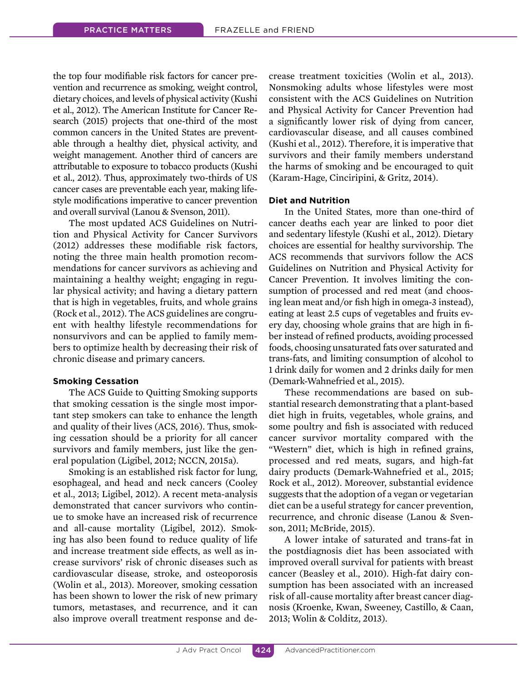the top four modifiable risk factors for cancer prevention and recurrence as smoking, weight control, dietary choices, and levels of physical activity (Kushi et al., 2012). The American Institute for Cancer Research (2015) projects that one-third of the most common cancers in the United States are preventable through a healthy diet, physical activity, and weight management. Another third of cancers are attributable to exposure to tobacco products (Kushi et al., 2012). Thus, approximately two-thirds of US cancer cases are preventable each year, making lifestyle modifications imperative to cancer prevention and overall survival (Lanou & Svenson, 2011).

The most updated ACS Guidelines on Nutrition and Physical Activity for Cancer Survivors (2012) addresses these modifiable risk factors, noting the three main health promotion recommendations for cancer survivors as achieving and maintaining a healthy weight; engaging in regular physical activity; and having a dietary pattern that is high in vegetables, fruits, and whole grains (Rock et al., 2012). The ACS guidelines are congruent with healthy lifestyle recommendations for nonsurvivors and can be applied to family members to optimize health by decreasing their risk of chronic disease and primary cancers.

#### **Smoking Cessation**

The ACS Guide to Quitting Smoking supports that smoking cessation is the single most important step smokers can take to enhance the length and quality of their lives (ACS, 2016). Thus, smoking cessation should be a priority for all cancer survivors and family members, just like the general population (Ligibel, 2012; NCCN, 2015a).

Smoking is an established risk factor for lung, esophageal, and head and neck cancers (Cooley et al., 2013; Ligibel, 2012). A recent meta-analysis demonstrated that cancer survivors who continue to smoke have an increased risk of recurrence and all-cause mortality (Ligibel, 2012). Smoking has also been found to reduce quality of life and increase treatment side efects, as well as increase survivors' risk of chronic diseases such as cardiovascular disease, stroke, and osteoporosis (Wolin et al., 2013). Moreover, smoking cessation has been shown to lower the risk of new primary tumors, metastases, and recurrence, and it can also improve overall treatment response and decrease treatment toxicities (Wolin et al., 2013). Nonsmoking adults whose lifestyles were most consistent with the ACS Guidelines on Nutrition and Physical Activity for Cancer Prevention had a significantly lower risk of dying from cancer, cardiovascular disease, and all causes combined (Kushi et al., 2012). Therefore, it is imperative that survivors and their family members understand the harms of smoking and be encouraged to quit (Karam-Hage, Cinciripini, & Gritz, 2014).

#### **Diet and Nutrition**

In the United States, more than one-third of cancer deaths each year are linked to poor diet and sedentary lifestyle (Kushi et al., 2012). Dietary choices are essential for healthy survivorship. The ACS recommends that survivors follow the ACS Guidelines on Nutrition and Physical Activity for Cancer Prevention. It involves limiting the consumption of processed and red meat (and choosing lean meat and/or fish high in omega-3 instead), eating at least 2.5 cups of vegetables and fruits every day, choosing whole grains that are high in fiber instead of refined products, avoiding processed foods, choosing unsaturated fats over saturated and trans-fats, and limiting consumption of alcohol to 1 drink daily for women and 2 drinks daily for men (Demark-Wahnefried et al., 2015).

These recommendations are based on substantial research demonstrating that a plant-based diet high in fruits, vegetables, whole grains, and some poultry and fish is associated with reduced cancer survivor mortality compared with the "Western" diet, which is high in refined grains, processed and red meats, sugars, and high-fat dairy products (Demark-Wahnefried et al., 2015; Rock et al., 2012). Moreover, substantial evidence suggests that the adoption of a vegan or vegetarian diet can be a useful strategy for cancer prevention, recurrence, and chronic disease (Lanou & Svenson, 2011; McBride, 2015).

A lower intake of saturated and trans-fat in the postdiagnosis diet has been associated with improved overall survival for patients with breast cancer (Beasley et al., 2010). High-fat dairy consumption has been associated with an increased risk of all-cause mortality after breast cancer diagnosis (Kroenke, Kwan, Sweeney, Castillo, & Caan, 2013; Wolin & Colditz, 2013).

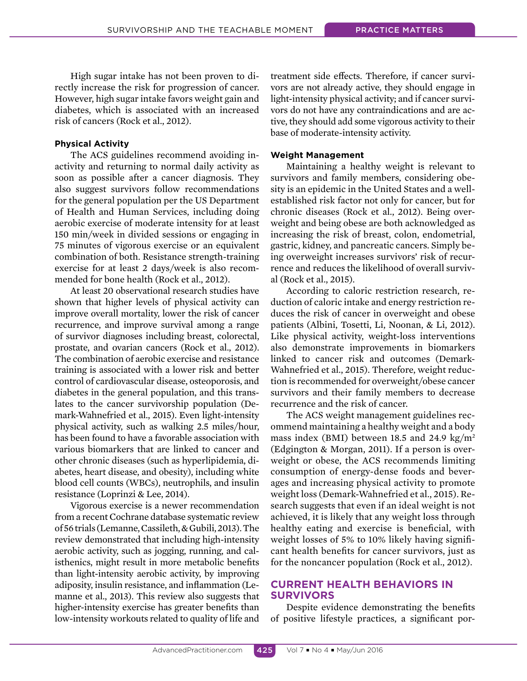High sugar intake has not been proven to directly increase the risk for progression of cancer. However, high sugar intake favors weight gain and diabetes, which is associated with an increased risk of cancers (Rock et al., 2012).

#### **Physical Activity**

The ACS guidelines recommend avoiding inactivity and returning to normal daily activity as soon as possible after a cancer diagnosis. They also suggest survivors follow recommendations for the general population per the US Department of Health and Human Services, including doing aerobic exercise of moderate intensity for at least 150 min/week in divided sessions or engaging in 75 minutes of vigorous exercise or an equivalent combination of both. Resistance strength-training exercise for at least 2 days/week is also recommended for bone health (Rock et al., 2012).

At least 20 observational research studies have shown that higher levels of physical activity can improve overall mortality, lower the risk of cancer recurrence, and improve survival among a range of survivor diagnoses including breast, colorectal, prostate, and ovarian cancers (Rock et al., 2012). The combination of aerobic exercise and resistance training is associated with a lower risk and better control of cardiovascular disease, osteoporosis, and diabetes in the general population, and this translates to the cancer survivorship population (Demark-Wahnefried et al., 2015). Even light-intensity physical activity, such as walking 2.5 miles/hour, has been found to have a favorable association with various biomarkers that are linked to cancer and other chronic diseases (such as hyperlipidemia, diabetes, heart disease, and obesity), including white blood cell counts (WBCs), neutrophils, and insulin resistance (Loprinzi & Lee, 2014).

Vigorous exercise is a newer recommendation from a recent Cochrane database systematic review of 56 trials (Lemanne, Cassileth, & Gubili, 2013). The review demonstrated that including high-intensity aerobic activity, such as jogging, running, and calisthenics, might result in more metabolic benefits than light-intensity aerobic activity, by improving adiposity, insulin resistance, and inflammation (Lemanne et al., 2013). This review also suggests that higher-intensity exercise has greater benefits than low-intensity workouts related to quality of life and treatment side efects. Therefore, if cancer survivors are not already active, they should engage in light-intensity physical activity; and if cancer survivors do not have any contraindications and are active, they should add some vigorous activity to their base of moderate-intensity activity.

#### **Weight Management**

Maintaining a healthy weight is relevant to survivors and family members, considering obesity is an epidemic in the United States and a wellestablished risk factor not only for cancer, but for chronic diseases (Rock et al., 2012). Being overweight and being obese are both acknowledged as increasing the risk of breast, colon, endometrial, gastric, kidney, and pancreatic cancers. Simply being overweight increases survivors' risk of recurrence and reduces the likelihood of overall survival (Rock et al., 2015).

According to caloric restriction research, reduction of caloric intake and energy restriction reduces the risk of cancer in overweight and obese patients (Albini, Tosetti, Li, Noonan, & Li, 2012). Like physical activity, weight-loss interventions also demonstrate improvements in biomarkers linked to cancer risk and outcomes (Demark-Wahnefried et al., 2015). Therefore, weight reduction is recommended for overweight/obese cancer survivors and their family members to decrease recurrence and the risk of cancer.

The ACS weight management guidelines recommend maintaining a healthy weight and a body mass index (BMI) between 18.5 and 24.9 kg/m<sup>2</sup> (Edgington & Morgan, 2011). If a person is overweight or obese, the ACS recommends limiting consumption of energy-dense foods and beverages and increasing physical activity to promote weight loss (Demark-Wahnefried et al., 2015). Research suggests that even if an ideal weight is not achieved, it is likely that any weight loss through healthy eating and exercise is beneficial, with weight losses of 5% to 10% likely having significant health benefits for cancer survivors, just as for the noncancer population (Rock et al., 2012).

# **CURRENT HEALTH BEHAVIORS IN SURVIVORS**

Despite evidence demonstrating the benefits of positive lifestyle practices, a significant por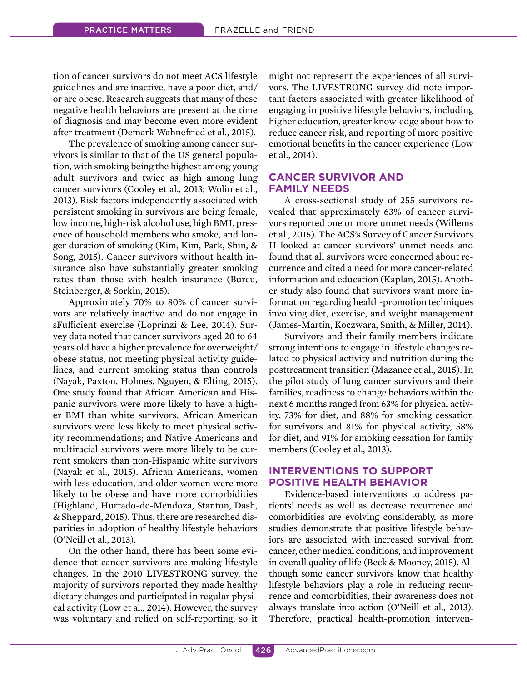tion of cancer survivors do not meet ACS lifestyle guidelines and are inactive, have a poor diet, and/ or are obese. Research suggests that many of these negative health behaviors are present at the time of diagnosis and may become even more evident after treatment (Demark-Wahnefried et al., 2015).

The prevalence of smoking among cancer survivors is similar to that of the US general population, with smoking being the highest among young adult survivors and twice as high among lung cancer survivors (Cooley et al., 2013; Wolin et al., 2013). Risk factors independently associated with persistent smoking in survivors are being female, low income, high-risk alcohol use, high BMI, presence of household members who smoke, and longer duration of smoking (Kim, Kim, Park, Shin, & Song, 2015). Cancer survivors without health insurance also have substantially greater smoking rates than those with health insurance (Burcu, Steinberger, & Sorkin, 2015).

Approximately 70% to 80% of cancer survivors are relatively inactive and do not engage in sFufficient exercise (Loprinzi & Lee, 2014). Survey data noted that cancer survivors aged 20 to 64 years old have a higher prevalence for overweight/ obese status, not meeting physical activity guidelines, and current smoking status than controls (Nayak, Paxton, Holmes, Nguyen, & Elting, 2015). One study found that African American and Hispanic survivors were more likely to have a higher BMI than white survivors; African American survivors were less likely to meet physical activity recommendations; and Native Americans and multiracial survivors were more likely to be current smokers than non-Hispanic white survivors (Nayak et al., 2015). African Americans, women with less education, and older women were more likely to be obese and have more comorbidities (Highland, Hurtado-de-Mendoza, Stanton, Dash, & Sheppard, 2015). Thus, there are researched disparities in adoption of healthy lifestyle behaviors (O'Neill et al., 2013).

On the other hand, there has been some evidence that cancer survivors are making lifestyle changes. In the 2010 LIVESTRONG survey, the majority of survivors reported they made healthy dietary changes and participated in regular physical activity (Low et al., 2014). However, the survey was voluntary and relied on self-reporting, so it might not represent the experiences of all survivors. The LIVESTRONG survey did note important factors associated with greater likelihood of engaging in positive lifestyle behaviors, including higher education, greater knowledge about how to reduce cancer risk, and reporting of more positive emotional benefits in the cancer experience (Low et al., 2014).

# **CANCER SURVIVOR AND FAMILY NEEDS**

A cross-sectional study of 255 survivors revealed that approximately 63% of cancer survivors reported one or more unmet needs (Willems et al., 2015). The ACS's Survey of Cancer Survivors II looked at cancer survivors' unmet needs and found that all survivors were concerned about recurrence and cited a need for more cancer-related information and education (Kaplan, 2015). Another study also found that survivors want more information regarding health-promotion techniques involving diet, exercise, and weight management (James-Martin, Koczwara, Smith, & Miller, 2014).

Survivors and their family members indicate strong intentions to engage in lifestyle changes related to physical activity and nutrition during the posttreatment transition (Mazanec et al., 2015). In the pilot study of lung cancer survivors and their families, readiness to change behaviors within the next 6 months ranged from 63% for physical activity, 73% for diet, and 88% for smoking cessation for survivors and 81% for physical activity, 58% for diet, and 91% for smoking cessation for family members (Cooley et al., 2013).

# **INTERVENTIONS TO SUPPORT POSITIVE HEALTH BEHAVIOR**

Evidence-based interventions to address patients' needs as well as decrease recurrence and comorbidities are evolving considerably, as more studies demonstrate that positive lifestyle behaviors are associated with increased survival from cancer, other medical conditions, and improvement in overall quality of life (Beck & Mooney, 2015). Although some cancer survivors know that healthy lifestyle behaviors play a role in reducing recurrence and comorbidities, their awareness does not always translate into action (O'Neill et al., 2013). Therefore, practical health-promotion interven-

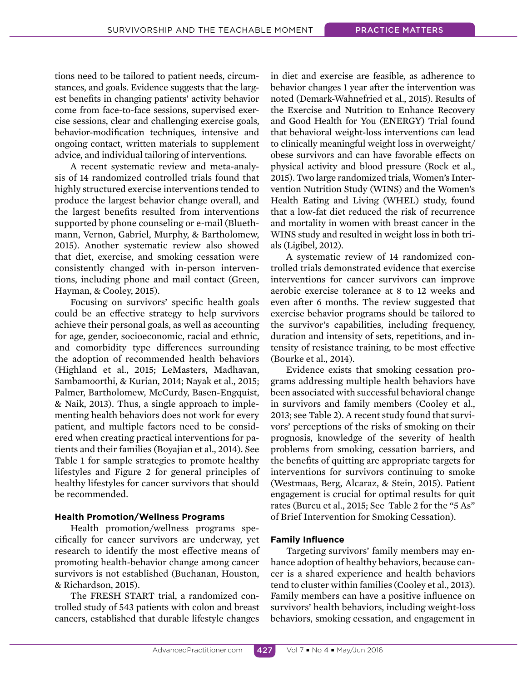tions need to be tailored to patient needs, circumstances, and goals. Evidence suggests that the largest benefits in changing patients' activity behavior come from face-to-face sessions, supervised exercise sessions, clear and challenging exercise goals, behavior-modification techniques, intensive and ongoing contact, written materials to supplement advice, and individual tailoring of interventions.

A recent systematic review and meta-analysis of 14 randomized controlled trials found that highly structured exercise interventions tended to produce the largest behavior change overall, and the largest benefits resulted from interventions supported by phone counseling or e-mail (Bluethmann, Vernon, Gabriel, Murphy, & Bartholomew, 2015). Another systematic review also showed that diet, exercise, and smoking cessation were consistently changed with in-person interventions, including phone and mail contact (Green, Hayman, & Cooley, 2015).

Focusing on survivors' specific health goals could be an efective strategy to help survivors achieve their personal goals, as well as accounting for age, gender, socioeconomic, racial and ethnic, and comorbidity type diferences surrounding the adoption of recommended health behaviors (Highland et al., 2015; LeMasters, Madhavan, Sambamoorthi, & Kurian, 2014; Nayak et al., 2015; Palmer, Bartholomew, McCurdy, Basen-Engquist, & Naik, 2013). Thus, a single approach to implementing health behaviors does not work for every patient, and multiple factors need to be considered when creating practical interventions for patients and their families (Boyajian et al., 2014). See Table 1 for sample strategies to promote healthy lifestyles and Figure 2 for general principles of healthy lifestyles for cancer survivors that should be recommended.

# **Health Promotion/Wellness Programs**

Health promotion/wellness programs specifically for cancer survivors are underway, yet research to identify the most efective means of promoting health-behavior change among cancer survivors is not established (Buchanan, Houston, & Richardson, 2015).

The FRESH START trial, a randomized controlled study of 543 patients with colon and breast cancers, established that durable lifestyle changes in diet and exercise are feasible, as adherence to behavior changes 1 year after the intervention was noted (Demark-Wahnefried et al., 2015). Results of the Exercise and Nutrition to Enhance Recovery and Good Health for You (ENERGY) Trial found that behavioral weight-loss interventions can lead to clinically meaningful weight loss in overweight/ obese survivors and can have favorable efects on physical activity and blood pressure (Rock et al., 2015). Two large randomized trials, Women's Intervention Nutrition Study (WINS) and the Women's Health Eating and Living (WHEL) study, found that a low-fat diet reduced the risk of recurrence and mortality in women with breast cancer in the WINS study and resulted in weight loss in both trials (Ligibel, 2012).

A systematic review of 14 randomized controlled trials demonstrated evidence that exercise interventions for cancer survivors can improve aerobic exercise tolerance at 8 to 12 weeks and even after 6 months. The review suggested that exercise behavior programs should be tailored to the survivor's capabilities, including frequency, duration and intensity of sets, repetitions, and intensity of resistance training, to be most efective (Bourke et al., 2014).

Evidence exists that smoking cessation programs addressing multiple health behaviors have been associated with successful behavioral change in survivors and family members (Cooley et al., 2013; see Table 2). A recent study found that survivors' perceptions of the risks of smoking on their prognosis, knowledge of the severity of health problems from smoking, cessation barriers, and the benefits of quitting are appropriate targets for interventions for survivors continuing to smoke (Westmaas, Berg, Alcaraz, & Stein, 2015). Patient engagement is crucial for optimal results for quit rates (Burcu et al., 2015; See Table 2 for the "5 As" of Brief Intervention for Smoking Cessation).

# **Family Influence**

Targeting survivors' family members may enhance adoption of healthy behaviors, because cancer is a shared experience and health behaviors tend to cluster within families (Cooley et al., 2013). Family members can have a positive influence on survivors' health behaviors, including weight-loss behaviors, smoking cessation, and engagement in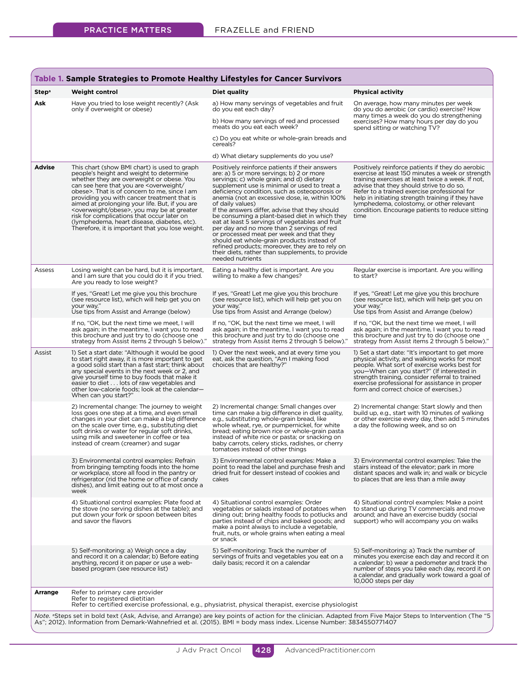| Step <sup>a</sup> | <b>Weight control</b>                                                                                                                                                                                                                                                                                                                                                                                                                                                                                                                                                  | Diet quality                                                                                                                                                                                                                                                                                                                                                                                                                                                                                                                                                                                                                                                                                                                           | <b>Physical activity</b>                                                                                                                                                                                                                                                                                                                                                                                          |
|-------------------|------------------------------------------------------------------------------------------------------------------------------------------------------------------------------------------------------------------------------------------------------------------------------------------------------------------------------------------------------------------------------------------------------------------------------------------------------------------------------------------------------------------------------------------------------------------------|----------------------------------------------------------------------------------------------------------------------------------------------------------------------------------------------------------------------------------------------------------------------------------------------------------------------------------------------------------------------------------------------------------------------------------------------------------------------------------------------------------------------------------------------------------------------------------------------------------------------------------------------------------------------------------------------------------------------------------------|-------------------------------------------------------------------------------------------------------------------------------------------------------------------------------------------------------------------------------------------------------------------------------------------------------------------------------------------------------------------------------------------------------------------|
| Ask               | Have you tried to lose weight recently? (Ask<br>only if overweight or obese)                                                                                                                                                                                                                                                                                                                                                                                                                                                                                           | a) How many servings of vegetables and fruit<br>do you eat each day?                                                                                                                                                                                                                                                                                                                                                                                                                                                                                                                                                                                                                                                                   | On average, how many minutes per week<br>do you do aerobic (or cardio) exercise? How                                                                                                                                                                                                                                                                                                                              |
|                   |                                                                                                                                                                                                                                                                                                                                                                                                                                                                                                                                                                        | b) How many servings of red and processed<br>meats do you eat each week?                                                                                                                                                                                                                                                                                                                                                                                                                                                                                                                                                                                                                                                               | many times a week do you do strengthening<br>exercises? How many hours per day do you<br>spend sitting or watching TV?                                                                                                                                                                                                                                                                                            |
|                   |                                                                                                                                                                                                                                                                                                                                                                                                                                                                                                                                                                        | c) Do you eat white or whole-grain breads and<br>cereals?                                                                                                                                                                                                                                                                                                                                                                                                                                                                                                                                                                                                                                                                              |                                                                                                                                                                                                                                                                                                                                                                                                                   |
|                   |                                                                                                                                                                                                                                                                                                                                                                                                                                                                                                                                                                        | d) What dietary supplements do you use?                                                                                                                                                                                                                                                                                                                                                                                                                                                                                                                                                                                                                                                                                                |                                                                                                                                                                                                                                                                                                                                                                                                                   |
| <b>Advise</b>     | This chart (show BMI chart) is used to graph<br>people's height and weight to determine<br>whether they are overweight or obese. You<br>can see here that you are <overweight <br="">obese&gt;. That is of concern to me, since I am<br/>providing you with cancer treatment that is<br/>aimed at prolonging your life. But, if you are<br/><overweight obese="">, you may be at greater<br/>risk for complications that occur later on<br/>(lymphedema, heart disease, diabetes, etc).<br/>Therefore, it is important that you lose weight.</overweight></overweight> | Positively reinforce patients if their answers<br>are: a) 5 or more servings; b) 2 or more<br>servings; c) whole grain; and d) dietary<br>supplement use is minimal or used to treat a<br>deficiency condition, such as osteoporosis or<br>anemia (not an excessive dose, ie, within 100%<br>of daily values)<br>If the answers differ, advise that they should<br>be consuming a plant-based diet in which they<br>eat at least 5 servings of vegetables and fruit<br>per day and no more than 2 servings of red<br>or processed meat per week and that they<br>should eat whole-grain products instead of<br>refined products; moreover, they are to rely on<br>their diets, rather than supplements, to provide<br>needed nutrients | Positively reinforce patients if they do aerobic<br>exercise at least 150 minutes a week or strength<br>training exercises at least twice a week. If not,<br>advise that they should strive to do so.<br>Refer to a trained exercise professional for<br>help in initiating strength training if they have<br>lymphedema, colostomy, or other relevant<br>condition. Encourage patients to reduce sitting<br>time |
| Assess            | Losing weight can be hard, but it is important,<br>and I am sure that you could do it if you tried.<br>Are you ready to lose weight?                                                                                                                                                                                                                                                                                                                                                                                                                                   | Eating a healthy diet is important. Are you<br>willing to make a few changes?                                                                                                                                                                                                                                                                                                                                                                                                                                                                                                                                                                                                                                                          | Regular exercise is important. Are you willing<br>to start?                                                                                                                                                                                                                                                                                                                                                       |
|                   | If yes, "Great! Let me give you this brochure<br>(see resource list), which will help get you on<br>your wav."<br>Use tips from Assist and Arrange (below)                                                                                                                                                                                                                                                                                                                                                                                                             | If yes, "Great! Let me give you this brochure<br>(see resource list), which will help get you on<br>vour way."<br>Use tips from Assist and Arrange (below)                                                                                                                                                                                                                                                                                                                                                                                                                                                                                                                                                                             | If yes, "Great! Let me give you this brochure<br>(see resource list), which will help get you on<br>vour way."<br>Use tips from Assist and Arrange (below)                                                                                                                                                                                                                                                        |
|                   | If no, "OK, but the next time we meet, I will<br>ask again; in the meantime, I want you to read<br>this brochure and just try to do (choose one<br>strategy from Assist items 2 through 5 below)"                                                                                                                                                                                                                                                                                                                                                                      | If no, "OK, but the next time we meet, I will<br>ask again; in the meantime, I want you to read<br>this brochure and just try to do (choose one<br>strategy from Assist items 2 through 5 below)."                                                                                                                                                                                                                                                                                                                                                                                                                                                                                                                                     | If no, "OK, but the next time we meet, I will<br>ask again; in the meantime, I want you to read<br>this brochure and just try to do (choose one<br>strategy from Assist items 2 through 5 below)."                                                                                                                                                                                                                |
| Assist            | 1) Set a start date: "Although it would be good<br>to start right away, it is more important to get<br>a good solid start than a fast start; think about<br>any special events in the next week or 2, and<br>give yourself time to buy foods that make it<br>easier to diet lots of raw vegetables and<br>other low-calorie foods; look at the calendar-<br>When can you start?"                                                                                                                                                                                       | 1) Over the next week, and at every time you<br>eat, ask the question, "Am I making food<br>choices that are healthy?"                                                                                                                                                                                                                                                                                                                                                                                                                                                                                                                                                                                                                 | 1) Set a start date: "It's important to get more<br>physical activity, and walking works for most<br>people. What sort of exercise works best for<br>you-When can you start?" (If interested in<br>strength training, consider referral to trained<br>exercise professional for assistance in proper<br>form and correct choice of exercises.)                                                                    |
|                   | 2) Incremental change: The journey to weight<br>loss goes one step at a time, and even small<br>changes in your diet can make a big difference<br>on the scale over time, e.g., substituting diet<br>soft drinks or water for regular soft drinks,<br>using milk and sweetener in coffee or tea<br>instead of cream (creamer) and sugar                                                                                                                                                                                                                                | 2) Incremental change: Small changes over<br>time can make a big difference in diet quality,<br>e.g., substituting whole-grain bread, like<br>whole wheat, rye, or pumpernickel, for white<br>bread; eating brown rice or whole-grain pasta<br>instead of white rice or pasta; or snacking on<br>baby carrots, celery sticks, radishes, or cherry<br>tomatoes instead of other things                                                                                                                                                                                                                                                                                                                                                  | 2) Incremental change: Start slowly and then<br>build up, e.g., start with 10 minutes of walking<br>or other exercise every day, then add 5 minutes<br>a day the following week, and so on                                                                                                                                                                                                                        |
|                   | 3) Environmental control examples: Refrain<br>from bringing tempting foods into the home<br>or workplace, store all food in the pantry or<br>refrigerator (rid the home or office of candy<br>dishes), and limit eating out to at most once a<br>week                                                                                                                                                                                                                                                                                                                  | 3) Environmental control examples: Make a<br>point to read the label and purchase fresh and<br>dried fruit for dessert instead of cookies and<br>cakes                                                                                                                                                                                                                                                                                                                                                                                                                                                                                                                                                                                 | 3) Environmental control examples: Take the<br>stairs instead of the elevator; park in more<br>distant spaces and walk in; and walk or bicycle<br>to places that are less than a mile away                                                                                                                                                                                                                        |
|                   | 4) Situational control examples: Plate food at<br>the stove (no serving dishes at the table); and<br>put down your fork or spoon between bites<br>and savor the flavors                                                                                                                                                                                                                                                                                                                                                                                                | 4) Situational control examples: Order<br>vegetables or salads instead of potatoes when<br>dining out; bring healthy foods to potlucks and<br>parties instead of chips and baked goods; and<br>make a point always to include a vegetable,<br>fruit, nuts, or whole grains when eating a meal<br>or snack                                                                                                                                                                                                                                                                                                                                                                                                                              | 4) Situational control examples: Make a point<br>to stand up during TV commercials and move<br>around; and have an exercise buddy (social<br>support) who will accompany you on walks                                                                                                                                                                                                                             |
|                   | 5) Self-monitoring: a) Weigh once a day<br>and record it on a calendar; b) Before eating<br>anything, record it on paper or use a web-<br>based program (see resource list)                                                                                                                                                                                                                                                                                                                                                                                            | 5) Self-monitoring: Track the number of<br>servings of fruits and vegetables you eat on a<br>daily basis; record it on a calendar                                                                                                                                                                                                                                                                                                                                                                                                                                                                                                                                                                                                      | 5) Self-monitoring: a) Track the number of<br>minutes you exercise each day and record it on<br>a calendar; b) wear a pedometer and track the<br>number of steps you take each day, record it on<br>a calendar, and gradually work toward a goal of<br>10,000 steps per day                                                                                                                                       |
| Arrange           | Refer to primary care provider<br>Refer to registered dietitian<br>Refer to certified exercise professional, e.g., physiatrist, physical therapist, exercise physiologist                                                                                                                                                                                                                                                                                                                                                                                              |                                                                                                                                                                                                                                                                                                                                                                                                                                                                                                                                                                                                                                                                                                                                        |                                                                                                                                                                                                                                                                                                                                                                                                                   |

*Note.* ªSteps set in bold text (Ask, Advise, and Arrange) are key points of action for the clinician. Adapted from Five Major Steps to Intervention (The "5<br>As"; 2012). Information from Demark-Wahnefried et al. (2015). BM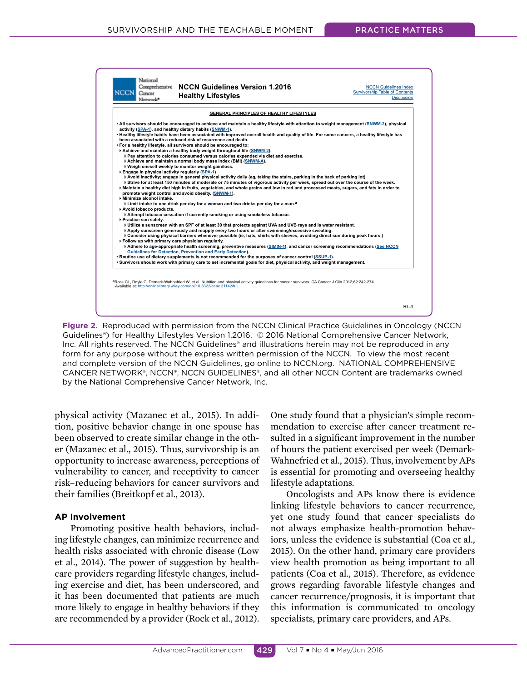

**Figure 2.** Reproduced with permission from the NCCN Clinical Practice Guidelines in Oncology (NCCN Guidelines®) for Healthy Lifestyles Version 1.2016. © 2016 National Comprehensive Cancer Network, Inc. All rights reserved. The NCCN Guidelines® and illustrations herein may not be reproduced in any form for any purpose without the express written permission of the NCCN. To view the most recent and complete version of the NCCN Guidelines, go online to NCCN.org. NATIONAL COMPREHENSIVE CANCER NETWORK®, NCCN®, NCCN GUIDELINES®, and all other NCCN Content are trademarks owned by the National Comprehensive Cancer Network, Inc.

physical activity (Mazanec et al., 2015). In addition, positive behavior change in one spouse has been observed to create similar change in the other (Mazanec et al., 2015). Thus, survivorship is an opportunity to increase awareness, perceptions of vulnerability to cancer, and receptivity to cancer risk–reducing behaviors for cancer survivors and their families (Breitkopf et al., 2013).

#### **AP Involvement**

Promoting positive health behaviors, including lifestyle changes, can minimize recurrence and health risks associated with chronic disease (Low et al., 2014). The power of suggestion by healthcare providers regarding lifestyle changes, including exercise and diet, has been underscored, and it has been documented that patients are much more likely to engage in healthy behaviors if they are recommended by a provider (Rock et al., 2012).

One study found that a physician's simple recommendation to exercise after cancer treatment resulted in a significant improvement in the number of hours the patient exercised per week (Demark-Wahnefried et al., 2015). Thus, involvement by APs is essential for promoting and overseeing healthy lifestyle adaptations.

Oncologists and APs know there is evidence linking lifestyle behaviors to cancer recurrence, yet one study found that cancer specialists do not always emphasize health-promotion behaviors, unless the evidence is substantial (Coa et al., 2015). On the other hand, primary care providers view health promotion as being important to all patients (Coa et al., 2015). Therefore, as evidence grows regarding favorable lifestyle changes and cancer recurrence/prognosis, it is important that this information is communicated to oncology specialists, primary care providers, and APs.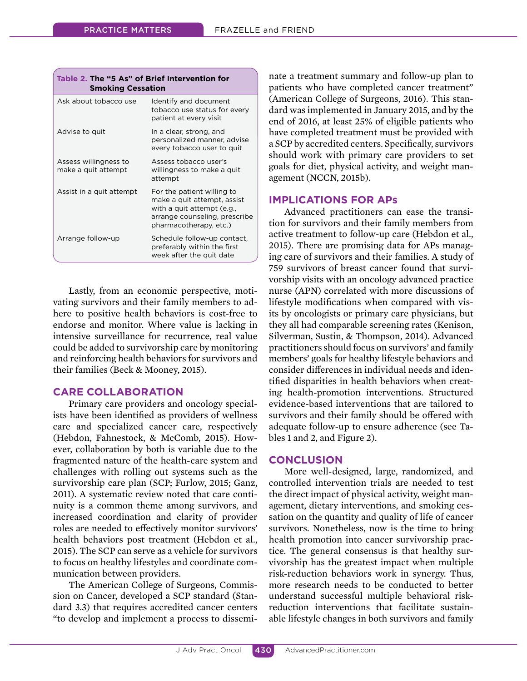| Table 2. The "5 As" of Brief Intervention for<br><b>Smoking Cessation</b> |                                                                                                                                                    |  |
|---------------------------------------------------------------------------|----------------------------------------------------------------------------------------------------------------------------------------------------|--|
| Ask about tobacco use                                                     | Identify and document<br>tobacco use status for every<br>patient at every visit                                                                    |  |
| Advise to quit                                                            | In a clear, strong, and<br>personalized manner, advise<br>every tobacco user to quit                                                               |  |
| Assess willingness to<br>make a quit attempt                              | Assess tobacco user's<br>willingness to make a quit<br>attempt                                                                                     |  |
| Assist in a quit attempt                                                  | For the patient willing to<br>make a quit attempt, assist<br>with a quit attempt (e.g.,<br>arrange counseling, prescribe<br>pharmacotherapy, etc.) |  |
| Arrange follow-up                                                         | Schedule follow-up contact,<br>preferably within the first<br>week after the quit date                                                             |  |

Lastly, from an economic perspective, motivating survivors and their family members to adhere to positive health behaviors is cost-free to endorse and monitor. Where value is lacking in intensive surveillance for recurrence, real value could be added to survivorship care by monitoring and reinforcing health behaviors for survivors and their families (Beck & Mooney, 2015).

# **CARE COLLABORATION**

Primary care providers and oncology specialists have been identified as providers of wellness care and specialized cancer care, respectively (Hebdon, Fahnestock, & McComb, 2015). However, collaboration by both is variable due to the fragmented nature of the health-care system and challenges with rolling out systems such as the survivorship care plan (SCP; Furlow, 2015; Ganz, 2011). A systematic review noted that care continuity is a common theme among survivors, and increased coordination and clarity of provider roles are needed to efectively monitor survivors' health behaviors post treatment (Hebdon et al., 2015). The SCP can serve as a vehicle for survivors to focus on healthy lifestyles and coordinate communication between providers.

The American College of Surgeons, Commission on Cancer, developed a SCP standard (Standard 3.3) that requires accredited cancer centers "to develop and implement a process to disseminate a treatment summary and follow-up plan to patients who have completed cancer treatment" (American College of Surgeons, 2016). This standard was implemented in January 2015, and by the end of 2016, at least 25% of eligible patients who have completed treatment must be provided with a SCP by accredited centers. Specifically, survivors should work with primary care providers to set goals for diet, physical activity, and weight management (NCCN, 2015b).

# **IMPLICATIONS FOR APs**

Advanced practitioners can ease the transition for survivors and their family members from active treatment to follow-up care (Hebdon et al., 2015). There are promising data for APs managing care of survivors and their families. A study of 759 survivors of breast cancer found that survivorship visits with an oncology advanced practice nurse (APN) correlated with more discussions of lifestyle modifications when compared with visits by oncologists or primary care physicians, but they all had comparable screening rates (Kenison, Silverman, Sustin, & Thompson, 2014). Advanced practitioners should focus on survivors' and family members' goals for healthy lifestyle behaviors and consider diferences in individual needs and identified disparities in health behaviors when creating health-promotion interventions. Structured evidence-based interventions that are tailored to survivors and their family should be offered with adequate follow-up to ensure adherence (see Tables 1 and 2, and Figure 2).

# **CONCLUSION**

More well-designed, large, randomized, and controlled intervention trials are needed to test the direct impact of physical activity, weight management, dietary interventions, and smoking cessation on the quantity and quality of life of cancer survivors. Nonetheless, now is the time to bring health promotion into cancer survivorship practice. The general consensus is that healthy survivorship has the greatest impact when multiple risk-reduction behaviors work in synergy. Thus, more research needs to be conducted to better understand successful multiple behavioral riskreduction interventions that facilitate sustainable lifestyle changes in both survivors and family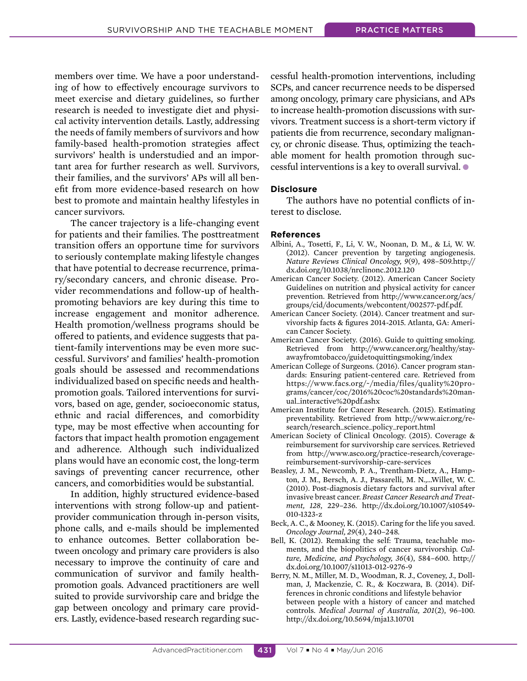members over time. We have a poor understanding of how to efectively encourage survivors to meet exercise and dietary guidelines, so further research is needed to investigate diet and physical activity intervention details. Lastly, addressing the needs of family members of survivors and how family-based health-promotion strategies afect survivors' health is understudied and an important area for further research as well. Survivors, their families, and the survivors' APs will all benefit from more evidence-based research on how best to promote and maintain healthy lifestyles in cancer survivors.

The cancer trajectory is a life-changing event for patients and their families. The posttreatment transition ofers an opportune time for survivors to seriously contemplate making lifestyle changes that have potential to decrease recurrence, primary/secondary cancers, and chronic disease. Provider recommendations and follow-up of healthpromoting behaviors are key during this time to increase engagement and monitor adherence. Health promotion/wellness programs should be ofered to patients, and evidence suggests that patient-family interventions may be even more successful. Survivors' and families' health-promotion goals should be assessed and recommendations individualized based on specific needs and healthpromotion goals. Tailored interventions for survivors, based on age, gender, socioeconomic status, ethnic and racial diferences, and comorbidity type, may be most efective when accounting for factors that impact health promotion engagement and adherence. Although such individualized plans would have an economic cost, the long-term savings of preventing cancer recurrence, other cancers, and comorbidities would be substantial.

In addition, highly structured evidence-based interventions with strong follow-up and patientprovider communication through in-person visits, phone calls, and e-mails should be implemented to enhance outcomes. Better collaboration between oncology and primary care providers is also necessary to improve the continuity of care and communication of survivor and family healthpromotion goals. Advanced practitioners are well suited to provide survivorship care and bridge the gap between oncology and primary care providers. Lastly, evidence-based research regarding successful health-promotion interventions, including SCPs, and cancer recurrence needs to be dispersed among oncology, primary care physicians, and APs to increase health-promotion discussions with survivors. Treatment success is a short-term victory if patients die from recurrence, secondary malignancy, or chronic disease. Thus, optimizing the teachable moment for health promotion through successful interventions is a key to overall survival.  $\bullet$ 

#### **Disclosure**

The authors have no potential conflicts of interest to disclose.

#### **References**

- Albini, A., Tosetti, F., Li, V. W., Noonan, D. M., & Li, W. W. (2012). Cancer prevention by targeting angiogenesis. *Nature Reviews Clinical Oncology, 9*(9), 498–509.http:// dx.doi.org/10.1038/nrclinonc.2012.120
- American Cancer Society. (2012). American Cancer Society Guidelines on nutrition and physical activity for cancer prevention. Retrieved from http://www.cancer.org/acs/ groups/cid/documents/webcontent/002577-pdf.pdf.
- American Cancer Society. (2014). Cancer treatment and survivorship facts & figures 2014-2015. Atlanta, GA: American Cancer Society.
- American Cancer Society. (2016). Guide to quitting smoking. Retrieved from http://www.cancer.org/healthy/stayawayfromtobacco/guidetoquittingsmoking/index
- American College of Surgeons. (2016). Cancer program standards: Ensuring patient-centered care. Retrieved from https://www.facs.org/~/media/files/quality%20programs/cancer/coc/2016%20coc%20standards%20manual\_interactive%20pdf.ashx
- American Institute for Cancer Research. (2015). Estimating preventability. Retrieved from http://www.aicr.org/research/research\_science\_policy\_report.html
- American Society of Clinical Oncology. (2015). Coverage & reimbursement for survivorship care services. Retrieved from http://www.asco.org/practice-research/coveragereimbursement-survivorship-care-services
- Beasley, J. M., Newcomb, P. A., Trentham-Dietz, A., Hampton, J. M., Bersch, A. J., Passarelli, M. N.,…Willet, W. C. (2010). Post-diagnosis dietary factors and survival after invasive breast cancer. *Breast Cancer Research and Treatment, 128*, 229–236. http://dx.doi.org/10.1007/s10549- 010-1323-z
- Beck, A. C., & Mooney, K. (2015). Caring for the life you saved. *Oncology Journal, 29*(4), 240–248.
- Bell, K. (2012). Remaking the self: Trauma, teachable moments, and the biopolitics of cancer survivorship. *Culture, Medicine, and Psychology, 36*(4), 584–600. http:// dx.doi.org/10.1007/s11013-012-9276-9
- Berry, N. M., Miller, M. D., Woodman, R. J., Coveney, J., Dollman, J, Mackenzie, C. R., & Koczwara, B. (2014). Differences in chronic conditions and lifestyle behavior between people with a history of cancer and matched controls. *Medical Journal of Australia, 201*(2), 96–100. http://dx.doi.org/10.5694/mja13.10701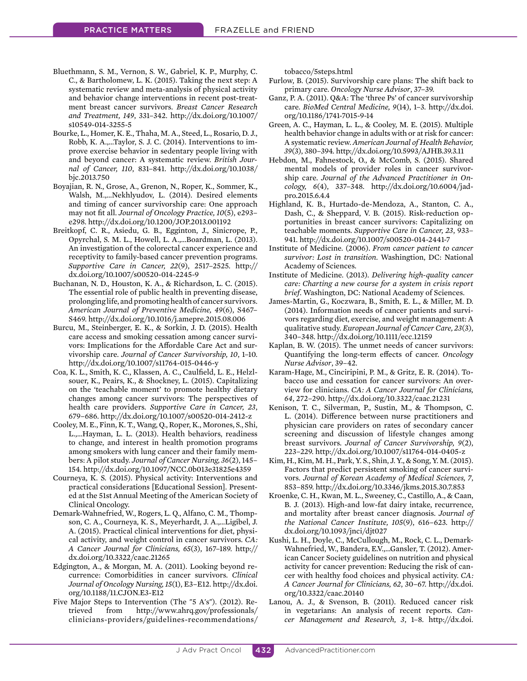- Bluethmann, S. M., Vernon, S. W., Gabriel, K. P., Murphy, C. C., & Bartholomew, L. K. (2015). Taking the next step: A systematic review and meta-analysis of physical activity and behavior change interventions in recent post-treatment breast cancer survivors. *Breast Cancer Research and Treatment, 149*, 331–342. http://dx.doi.org/10.1007/ s10549-014-3255-5
- Bourke, L., Homer, K. E., Thaha, M. A., Steed, L., Rosario, D. J., Robb, K. A.,…Taylor, S. J. C. (2014). Interventions to improve exercise behavior in sedentary people living with and beyond cancer: A systematic review. *British Journal of Cancer, 110*, 831–841. http://dx.doi.org/10.1038/ bjc.2013.750
- Boyajian, R. N., Grose, A., Grenon, N., Roper, K., Sommer, K., Walsh, M.,…Nekhlyudov, L. (2014). Desired elements and timing of cancer survivorship care: One approach may not fit all. *Journal of Oncology Practice, 10*(5), e293– e298. http://dx.doi.org/10.1200/JOP.2013.001192
- Breitkopf, C. R., Asiedu, G. B., Egginton, J., Sinicrope, P., Opyrchal, S. M. L., Howell, L. A.,…Boardman, L. (2013). An investigation of the colorectal cancer experience and receptivity to family-based cancer prevention programs. *Supportive Care in Cancer, 22*(9), 2517–2525. http:// dx.doi.org/10.1007/s00520-014-2245-9
- Buchanan, N. D., Houston, K. A., & Richardson, L. C. (2015). The essential role of public health in preventing disease, prolonging life, and promoting health of cancer survivors. *American Journal of Preventive Medicine, 49*(6), S467– S469. http://dx.doi.org/10.1016/j.amepre.2015.08.006
- Burcu, M., Steinberger, E. K., & Sorkin, J. D. (2015). Health care access and smoking cessation among cancer survivors: Implications for the Afordable Care Act and survivorship care. *Journal of Cancer Survivorship, 10*, 1–10. http://dx.doi.org/10.1007/s11764-015-0446-y
- Coa, K. L., Smith, K. C., Klassen, A. C., Caulfield, L. E., Helzlsouer, K., Peairs, K., & Shockney, L. (2015). Capitalizing on the 'teachable moment' to promote healthy dietary changes among cancer survivors: The perspectives of health care providers. *Supportive Care in Cancer, 23*, 679–686. http://dx.doi.org/10.1007/s00520-014-2412-z
- Cooley, M. E., Finn, K. T., Wang, Q., Roper, K., Morones, S., Shi, L.,…Hayman, L. L. (2013). Health behaviors, readiness to change, and interest in health promotion programs among smokers with lung cancer and their family members: A pilot study. *Journal of Cancer Nursing, 36*(2), 145– 154. http://dx.doi.org/10.1097/NCC.0b013e31825e4359
- Courneya, K. S. (2015). Physical activity: Interventions and practical considerations [Educational Session]. Presented at the 51st Annual Meeting of the American Society of Clinical Oncology.
- Demark-Wahnefried, W., Rogers, L. Q., Alfano, C. M., Thompson, C. A., Courneya, K. S., Meyerhardt, J. A.,…Ligibel, J. A. (2015). Practical clinical interventions for diet, physical activity, and weight control in cancer survivors. *CA: A Cancer Journal for Clinicians, 65*(3), 167–189. http:// dx.doi.org/10.3322/caac.21265
- Edgington, A., & Morgan, M. A. (2011). Looking beyond recurrence: Comorbidities in cancer survivors. *Clinical Journal of Oncology Nursing, 15*(1), E3–E12. http://dx.doi. org/10.1188/11.CJON.E3-E12
- Five Major Steps to Intervention (The "5 A's"). (2012). Retrieved from http://www.ahrq.gov/professionals/ clinicians-providers/guidelines-recommendations/

tobacco/5steps.html

- Furlow, B. (2015). Survivorship care plans: The shift back to primary care. *Oncology Nurse Advisor*, 37–39.
- Ganz, P. A. (2011). Q&A: The 'three Ps' of cancer survivorship care. *BioMed Central Medicine, 9*(14), 1–3. http://dx.doi. org/10.1186/1741-7015-9-14
- Green, A. C., Hayman, L. L., & Cooley, M. E. (2015). Multiple health behavior change in adults with or at risk for cancer: A systematic review. *American Journal of Health Behavior, 39*(3), 380–394. http://dx.doi.org/10.5993/AJHB.39.3.11
- Hebdon, M., Fahnestock, O., & McComb, S. (2015). Shared mental models of provider roles in cancer survivorship care. *Journal of the Advanced Practitioner in Oncology, 6*(4), 337–348. http://dx.doi.org/10.6004/jadpro.2015.6.4.4
- Highland, K. B., Hurtado-de-Mendoza, A., Stanton, C. A., Dash, C., & Sheppard, V. B. (2015). Risk-reduction opportunities in breast cancer survivors: Capitalizing on teachable moments. *Supportive Care in Cancer, 23*, 933– 941. http://dx.doi.org/10.1007/s00520-014-2441-7
- Institute of Medicine. (2006). *From cancer patient to cancer survivor: Lost in transition*. Washingtion, DC: National Academy of Sciences.
- Institute of Medicine. (2013). *Delivering high-quality cancer care: Charting a new course for a system in crisis report brief*. Washington, DC: National Academy of Sciences.
- James-Martin, G., Koczwara, B., Smith, E. L., & Miller, M. D. (2014). Information needs of cancer patients and survivors regarding diet, exercise, and weight management: A qualitative study. *European Journal of Cancer Care, 23*(3), 340–348. http://dx.doi.org/10.1111/ecc.12159
- Kaplan, B. W. (2015). The unmet needs of cancer survivors: Quantifying the long-term efects of cancer. *Oncology Nurse Advisor*, 39–42.
- Karam-Hage, M., Cinciripini, P. M., & Gritz, E. R. (2014). Tobacco use and cessation for cancer survivors: An overview for clinicians. *CA: A Cancer Journal for Clinicians, 64*, 272–290. http://dx.doi.org/10.3322/caac.21231
- Kenison, T. C., Silverman, P., Sustin, M., & Thompson, C. L. (2014). Diference between nurse practitioners and physician care providers on rates of secondary cancer screening and discussion of lifestyle changes among breast survivors. *Journal of Cancer Survivorship, 9*(2), 223–229. http://dx.doi.org/10.1007/s11764-014-0405-z
- Kim, H., Kim, M. H., Park, Y. S., Shin, J. Y., & Song, Y. M. (2015). Factors that predict persistent smoking of cancer survivors. *Journal of Korean Academy of Medical Sciences, 7*, 853–859. http://dx.doi.org/10.3346/jkms.2015.30.7.853
- Kroenke, C. H., Kwan, M. L., Sweeney, C., Castillo, A., & Caan, B. J. (2013). High-and low-fat dairy intake, recurrence, and mortality after breast cancer diagnosis. *Journal of the National Cancer Institute, 105*(9), 616–623. http:// dx.doi.org/10.1093/jnci/djt027
- Kushi, L. H., Doyle, C., McCullough, M., Rock, C. L., Demark-Wahnefried, W., Bandera, E.V.,…Gansler, T. (2012). American Cancer Society guidelines on nutrition and physical activity for cancer prevention: Reducing the risk of cancer with healthy food choices and physical activity. *CA: A Cancer Journal for Clinicians, 62*, 30–67. http://dx.doi. org/10.3322/caac.20140
- Lanou, A. J., & Svenson, B. (2011). Reduced cancer risk in vegetarians: An analysis of recent reports. *Cancer Management and Research, 3*, 1–8. http://dx.doi.